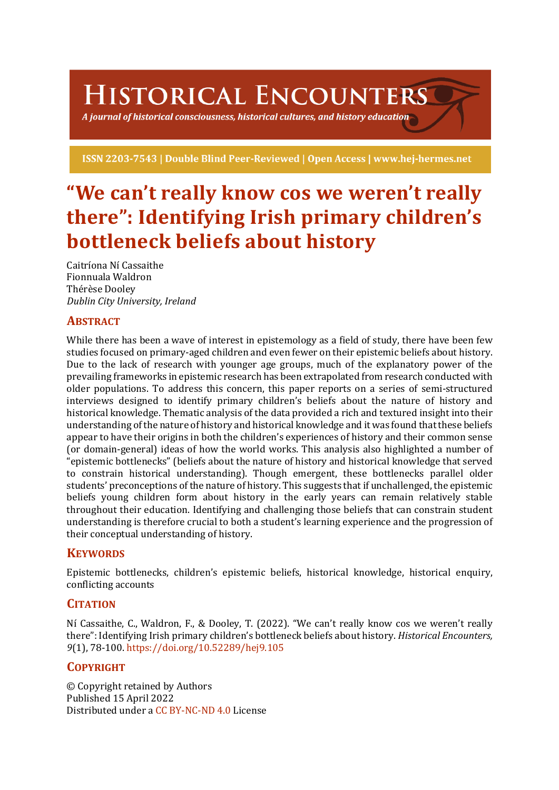HISTORICAL ENCOUNTERS

A journal of historical consciousness, historical cultures, and history education  $\mathbb S$ 

ISSN 2203-7543 | Double Blind Peer-Reviewed | Open Access | www.hej-hermes.net

# "We can't really know cos we weren't really **there": Identifying Irish primary children's bottleneck beliefs about history**

Caitríona Ní Cassaithe Fionnuala Waldron Thérèse Dooley *Dublin City University, Ireland*

## **ABSTRACT**

While there has been a wave of interest in epistemology as a field of study, there have been few studies focused on primary-aged children and even fewer on their epistemic beliefs about history. Due to the lack of research with younger age groups, much of the explanatory power of the prevailing frameworks in epistemic research has been extrapolated from research conducted with older populations. To address this concern, this paper reports on a series of semi-structured interviews designed to identify primary children's beliefs about the nature of history and historical knowledge. Thematic analysis of the data provided a rich and textured insight into their understanding of the nature of history and historical knowledge and it was found that these beliefs appear to have their origins in both the children's experiences of history and their common sense (or domain-general) ideas of how the world works. This analysis also highlighted a number of "epistemic bottlenecks" (beliefs about the nature of history and historical knowledge that served to constrain historical understanding). Though emergent, these bottlenecks parallel older students' preconceptions of the nature of history. This suggests that if unchallenged, the epistemic beliefs young children form about history in the early years can remain relatively stable throughout their education. Identifying and challenging those beliefs that can constrain student understanding is therefore crucial to both a student's learning experience and the progression of their conceptual understanding of history.

## **KEYWORDS**

Epistemic bottlenecks, children's epistemic beliefs, historical knowledge, historical enquiry, conflicting accounts

## **CITATION**

Ní Cassaithe, C., Waldron, F., & Dooley, T. (2022). "We can't really know cos we weren't really there": Identifying Irish primary children's bottleneck beliefs about history. *Historical Encounters*, *9*(1), 78-100. https://doi.org/10.52289/hej9.105

## **COPYRIGHT**

© Copyright retained by Authors Published 15 April 2022 Distributed under a CC BY-NC-ND 4.0 License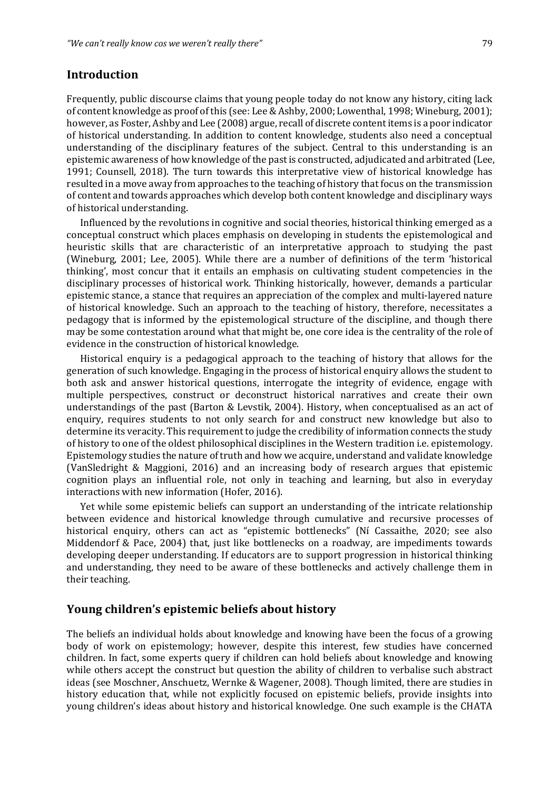## **Introduction**

Frequently, public discourse claims that young people today do not know any history, citing lack of content knowledge as proof of this (see: Lee & Ashby, 2000; Lowenthal, 1998; Wineburg, 2001); however, as Foster, Ashby and Lee (2008) argue, recall of discrete content items is a poor indicator of historical understanding. In addition to content knowledge, students also need a conceptual understanding of the disciplinary features of the subject. Central to this understanding is an epistemic awareness of how knowledge of the past is constructed, adjudicated and arbitrated (Lee, 1991; Counsell, 2018). The turn towards this interpretative view of historical knowledge has resulted in a move away from approaches to the teaching of history that focus on the transmission of content and towards approaches which develop both content knowledge and disciplinary ways of historical understanding.

Influenced by the revolutions in cognitive and social theories, historical thinking emerged as a conceptual construct which places emphasis on developing in students the epistemological and heuristic skills that are characteristic of an interpretative approach to studying the past (Wineburg, 2001; Lee, 2005). While there are a number of definitions of the term 'historical thinking', most concur that it entails an emphasis on cultivating student competencies in the disciplinary processes of historical work. Thinking historically, however, demands a particular epistemic stance, a stance that requires an appreciation of the complex and multi-layered nature of historical knowledge. Such an approach to the teaching of history, therefore, necessitates a pedagogy that is informed by the epistemological structure of the discipline, and though there may be some contestation around what that might be, one core idea is the centrality of the role of evidence in the construction of historical knowledge.

Historical enquiry is a pedagogical approach to the teaching of history that allows for the generation of such knowledge. Engaging in the process of historical enquiry allows the student to both ask and answer historical questions, interrogate the integrity of evidence, engage with multiple perspectives, construct or deconstruct historical narratives and create their own understandings of the past (Barton & Levstik, 2004). History, when conceptualised as an act of enquiry, requires students to not only search for and construct new knowledge but also to determine its veracity. This requirement to judge the credibility of information connects the study of history to one of the oldest philosophical disciplines in the Western tradition i.e. epistemology. Epistemology studies the nature of truth and how we acquire, understand and validate knowledge (VanSledright & Maggioni, 2016) and an increasing body of research argues that epistemic cognition plays an influential role, not only in teaching and learning, but also in everyday interactions with new information (Hofer, 2016).

Yet while some epistemic beliefs can support an understanding of the intricate relationship between evidence and historical knowledge through cumulative and recursive processes of historical enquiry, others can act as "epistemic bottlenecks" (Ní Cassaithe, 2020; see also Middendorf & Pace, 2004) that, just like bottlenecks on a roadway, are impediments towards developing deeper understanding. If educators are to support progression in historical thinking and understanding, they need to be aware of these bottlenecks and actively challenge them in their teaching.

#### Young children's epistemic beliefs about history

The beliefs an individual holds about knowledge and knowing have been the focus of a growing body of work on epistemology; however, despite this interest, few studies have concerned children. In fact, some experts query if children can hold beliefs about knowledge and knowing while others accept the construct but question the ability of children to verbalise such abstract ideas (see Moschner, Anschuetz, Wernke & Wagener, 2008). Though limited, there are studies in history education that, while not explicitly focused on epistemic beliefs, provide insights into young children's ideas about history and historical knowledge. One such example is the CHATA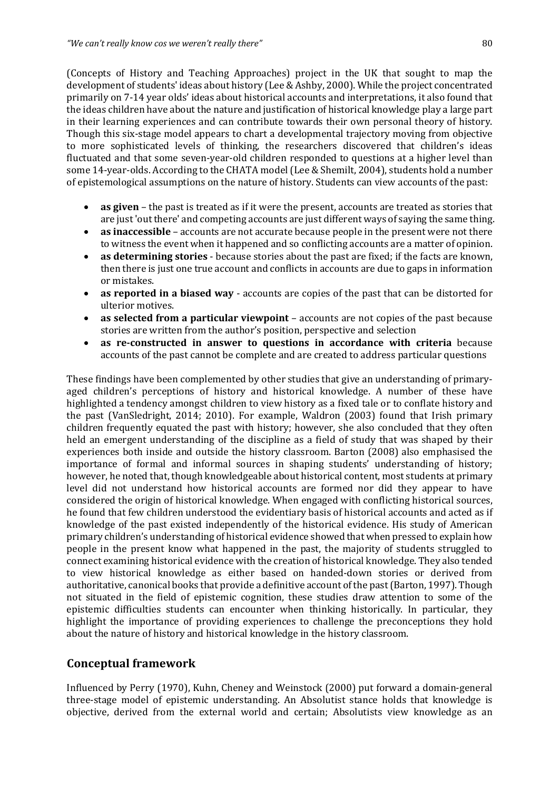(Concepts of History and Teaching Approaches) project in the UK that sought to map the development of students' ideas about history (Lee & Ashby, 2000). While the project concentrated primarily on 7-14 year olds' ideas about historical accounts and interpretations, it also found that the ideas children have about the nature and justification of historical knowledge play a large part in their learning experiences and can contribute towards their own personal theory of history. Though this six-stage model appears to chart a developmental trajectory moving from objective to more sophisticated levels of thinking, the researchers discovered that children's ideas fluctuated and that some seven-year-old children responded to questions at a higher level than some 14-year-olds. According to the CHATA model (Lee & Shemilt, 2004), students hold a number of epistemological assumptions on the nature of history. Students can view accounts of the past:

- **as given** the past is treated as if it were the present, accounts are treated as stories that are just 'out there' and competing accounts are just different ways of saying the same thing.
- **as inaccessible** accounts are not accurate because people in the present were not there to witness the event when it happened and so conflicting accounts are a matter of opinion.
- **as determining stories** because stories about the past are fixed; if the facts are known, then there is just one true account and conflicts in accounts are due to gaps in information or mistakes.
- **as reported in a biased way** accounts are copies of the past that can be distorted for ulterior motives.
- **as selected from a particular viewpoint** accounts are not copies of the past because stories are written from the author's position, perspective and selection
- **as re-constructed in answer to questions in accordance with criteria** because accounts of the past cannot be complete and are created to address particular questions

These findings have been complemented by other studies that give an understanding of primaryaged children's perceptions of history and historical knowledge. A number of these have highlighted a tendency amongst children to view history as a fixed tale or to conflate history and the past (VanSledright, 2014; 2010). For example, Waldron (2003) found that Irish primary children frequently equated the past with history; however, she also concluded that they often held an emergent understanding of the discipline as a field of study that was shaped by their experiences both inside and outside the history classroom. Barton (2008) also emphasised the importance of formal and informal sources in shaping students' understanding of history; however, he noted that, though knowledgeable about historical content, most students at primary level did not understand how historical accounts are formed nor did they appear to have considered the origin of historical knowledge. When engaged with conflicting historical sources, he found that few children understood the evidentiary basis of historical accounts and acted as if knowledge of the past existed independently of the historical evidence. His study of American primary children's understanding of historical evidence showed that when pressed to explain how people in the present know what happened in the past, the majority of students struggled to connect examining historical evidence with the creation of historical knowledge. They also tended to view historical knowledge as either based on handed-down stories or derived from authoritative, canonical books that provide a definitive account of the past (Barton, 1997). Though not situated in the field of epistemic cognition, these studies draw attention to some of the epistemic difficulties students can encounter when thinking historically. In particular, they highlight the importance of providing experiences to challenge the preconceptions they hold about the nature of history and historical knowledge in the history classroom.

## **Conceptual framework**

Influenced by Perry (1970), Kuhn, Cheney and Weinstock (2000) put forward a domain-general three-stage model of epistemic understanding. An Absolutist stance holds that knowledge is objective, derived from the external world and certain; Absolutists view knowledge as an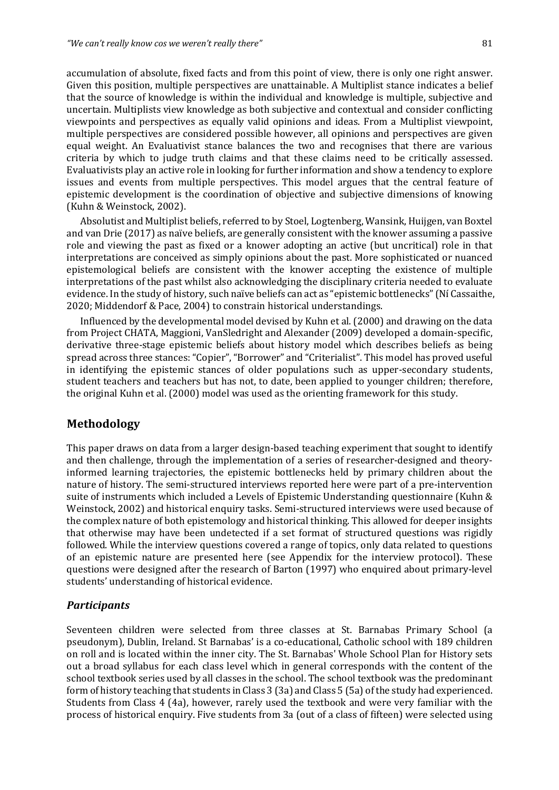accumulation of absolute, fixed facts and from this point of view, there is only one right answer. Given this position, multiple perspectives are unattainable. A Multiplist stance indicates a belief that the source of knowledge is within the individual and knowledge is multiple, subjective and uncertain. Multiplists view knowledge as both subjective and contextual and consider conflicting viewpoints and perspectives as equally valid opinions and ideas. From a Multiplist viewpoint, multiple perspectives are considered possible however, all opinions and perspectives are given equal weight. An Evaluativist stance balances the two and recognises that there are various criteria by which to judge truth claims and that these claims need to be critically assessed. Evaluativists play an active role in looking for further information and show a tendency to explore issues and events from multiple perspectives. This model argues that the central feature of epistemic development is the coordination of objective and subjective dimensions of knowing (Kuhn & Weinstock, 2002).

Absolutist and Multiplist beliefs, referred to by Stoel, Logtenberg, Wansink, Huijgen, van Boxtel and van Drie (2017) as naïve beliefs, are generally consistent with the knower assuming a passive role and viewing the past as fixed or a knower adopting an active (but uncritical) role in that interpretations are conceived as simply opinions about the past. More sophisticated or nuanced epistemological beliefs are consistent with the knower accepting the existence of multiple interpretations of the past whilst also acknowledging the disciplinary criteria needed to evaluate evidence. In the study of history, such naïve beliefs can act as "epistemic bottlenecks" (Ní Cassaithe, 2020; Middendorf & Pace, 2004) to constrain historical understandings.

Influenced by the developmental model devised by Kuhn et al. (2000) and drawing on the data from Project CHATA, Maggioni, VanSledright and Alexander (2009) developed a domain-specific, derivative three-stage epistemic beliefs about history model which describes beliefs as being spread across three stances: "Copier", "Borrower" and "Criterialist". This model has proved useful in identifying the epistemic stances of older populations such as upper-secondary students, student teachers and teachers but has not, to date, been applied to younger children; therefore, the original Kuhn et al. (2000) model was used as the orienting framework for this study.

#### **Methodology**

This paper draws on data from a larger design-based teaching experiment that sought to identify and then challenge, through the implementation of a series of researcher-designed and theoryinformed learning trajectories, the epistemic bottlenecks held by primary children about the nature of history. The semi-structured interviews reported here were part of a pre-intervention suite of instruments which included a Levels of Epistemic Understanding questionnaire (Kuhn & Weinstock, 2002) and historical enquiry tasks. Semi-structured interviews were used because of the complex nature of both epistemology and historical thinking. This allowed for deeper insights that otherwise may have been undetected if a set format of structured questions was rigidly followed. While the interview questions covered a range of topics, only data related to questions of an epistemic nature are presented here (see Appendix for the interview protocol). These questions were designed after the research of Barton (1997) who enquired about primary-level students' understanding of historical evidence.

#### *Participants*

Seventeen children were selected from three classes at St. Barnabas Primary School (a pseudonym), Dublin, Ireland. St Barnabas' is a co-educational, Catholic school with 189 children on roll and is located within the inner city. The St. Barnabas' Whole School Plan for History sets out a broad syllabus for each class level which in general corresponds with the content of the school textbook series used by all classes in the school. The school textbook was the predominant form of history teaching that students in Class 3 (3a) and Class 5 (5a) of the study had experienced. Students from Class 4 (4a), however, rarely used the textbook and were very familiar with the process of historical enquiry. Five students from 3a (out of a class of fifteen) were selected using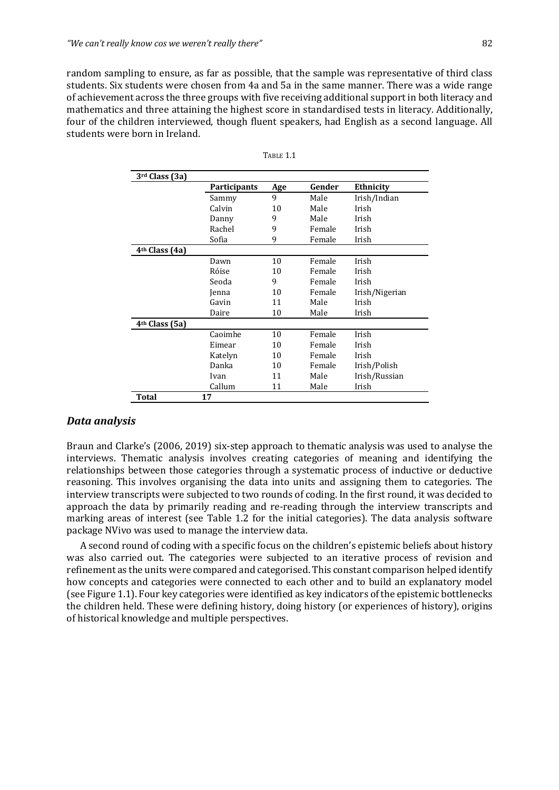random sampling to ensure, as far as possible, that the sample was representative of third class students. Six students were chosen from 4a and 5a in the same manner. There was a wide range of achievement across the three groups with five receiving additional support in both literacy and mathematics and three attaining the highest score in standardised tests in literacy. Additionally, four of the children interviewed, though fluent speakers, had English as a second language. All students were born in Ireland.

| 3rd Class (3a)             |                     |     |        |                |
|----------------------------|---------------------|-----|--------|----------------|
|                            | <b>Participants</b> | Age | Gender | Ethnicity      |
|                            | Sammy               | 9   | Male   | Irish/Indian   |
|                            | Calvin              | 10  | Male   | Irish          |
|                            | Danny               | 9   | Male   | Irish          |
|                            | Rachel              | 9   | Female | Irish          |
|                            | Sofia               | 9   | Female | Irish          |
| 4 <sup>th</sup> Class (4a) |                     |     |        |                |
|                            | Dawn                | 10  | Female | Irish          |
|                            | Róise               | 10  | Female | Irish          |
|                            | Seoda               | 9   | Female | Irish          |
|                            | Jenna               | 10  | Female | Irish/Nigerian |
|                            | Gavin               | 11  | Male   | Irish          |
|                            | Daire               | 10  | Male   | Irish          |
| 4 <sup>th</sup> Class (5a) |                     |     |        |                |
|                            | Caoimhe             | 10  | Female | Irish          |
|                            | Eimear              | 10  | Female | Irish          |
|                            | Katelyn             | 10  | Female | Irish          |
|                            | Danka               | 10  | Female | Irish/Polish   |
|                            | Ivan                | 11  | Male   | Irish/Russian  |
|                            | Callum              | 11  | Male   | Irish          |
| Total                      | 17                  |     |        |                |

| Table 1.1 |  |
|-----------|--|
|           |  |

#### *Data analysis*

Braun and Clarke's (2006, 2019) six-step approach to thematic analysis was used to analyse the interviews. Thematic analysis involves creating categories of meaning and identifying the relationships between those categories through a systematic process of inductive or deductive reasoning. This involves organising the data into units and assigning them to categories. The interview transcripts were subjected to two rounds of coding. In the first round, it was decided to approach the data by primarily reading and re-reading through the interview transcripts and marking areas of interest (see Table 1.2 for the initial categories). The data analysis software package NVivo was used to manage the interview data.

A second round of coding with a specific focus on the children's epistemic beliefs about history was also carried out. The categories were subjected to an iterative process of revision and refinement as the units were compared and categorised. This constant comparison helped identify how concepts and categories were connected to each other and to build an explanatory model (see Figure 1.1). Four key categories were identified as key indicators of the epistemic bottlenecks the children held. These were defining history, doing history (or experiences of history), origins of historical knowledge and multiple perspectives.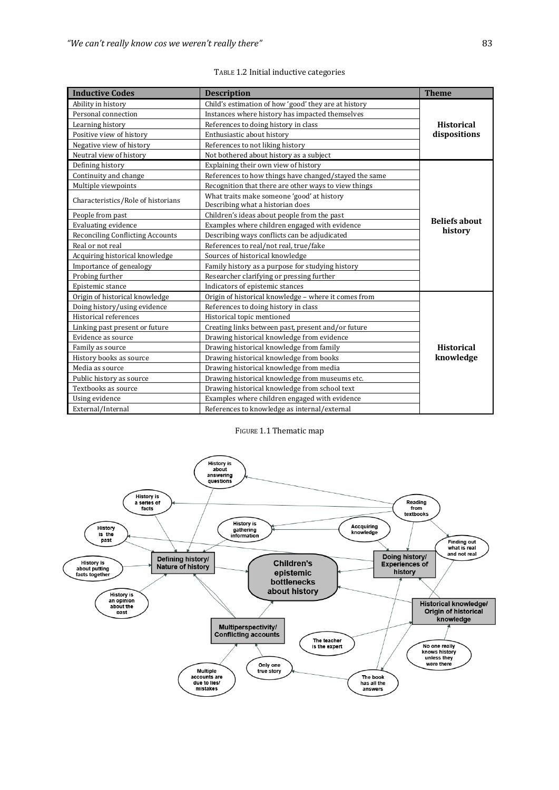| <b>Inductive Codes</b>                  | <b>Description</b>                                                             | <b>Theme</b>         |
|-----------------------------------------|--------------------------------------------------------------------------------|----------------------|
| Ability in history                      | Child's estimation of how 'good' they are at history                           |                      |
| Personal connection                     | Instances where history has impacted themselves                                |                      |
| Learning history                        | References to doing history in class                                           | <b>Historical</b>    |
| Positive view of history                | Enthusiastic about history                                                     | dispositions         |
| Negative view of history                | References to not liking history                                               |                      |
| Neutral view of history                 | Not bothered about history as a subject                                        |                      |
| Defining history                        | Explaining their own view of history                                           |                      |
| Continuity and change                   | References to how things have changed/stayed the same                          |                      |
| Multiple viewpoints                     | Recognition that there are other ways to view things                           |                      |
| Characteristics/Role of historians      | What traits make someone 'good' at history<br>Describing what a historian does |                      |
| People from past                        | Children's ideas about people from the past                                    |                      |
| <b>Evaluating evidence</b>              | Examples where children engaged with evidence                                  | <b>Beliefs about</b> |
| <b>Reconciling Conflicting Accounts</b> | Describing ways conflicts can be adjudicated                                   | history              |
| Real or not real                        | References to real/not real, true/fake                                         |                      |
| Acquiring historical knowledge          | Sources of historical knowledge                                                |                      |
| Importance of genealogy                 | Family history as a purpose for studying history                               |                      |
| Probing further                         | Researcher clarifying or pressing further                                      |                      |
| Epistemic stance                        | Indicators of epistemic stances                                                |                      |
| Origin of historical knowledge          | Origin of historical knowledge - where it comes from                           |                      |
| Doing history/using evidence            | References to doing history in class                                           |                      |
| Historical references                   | Historical topic mentioned                                                     |                      |
| Linking past present or future          | Creating links between past, present and/or future                             |                      |
| Evidence as source                      | Drawing historical knowledge from evidence                                     |                      |
| Family as source                        | Drawing historical knowledge from family                                       | <b>Historical</b>    |
| History books as source                 | Drawing historical knowledge from books                                        | knowledge            |
| Media as source                         | Drawing historical knowledge from media                                        |                      |
| Public history as source                | Drawing historical knowledge from museums etc.                                 |                      |
| Textbooks as source                     | Drawing historical knowledge from school text                                  |                      |
| Using evidence                          | Examples where children engaged with evidence                                  |                      |
| External/Internal                       | References to knowledge as internal/external                                   |                      |

TABLE 1.2 Initial inductive categories

#### FIGURE 1.1 Thematic map

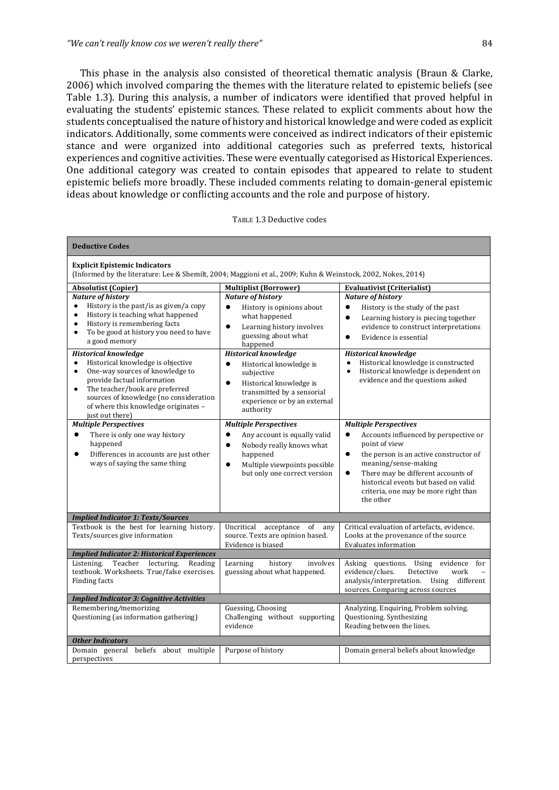This phase in the analysis also consisted of theoretical thematic analysis (Braun  $\&$  Clarke, 2006) which involved comparing the themes with the literature related to epistemic beliefs (see Table 1.3). During this analysis, a number of indicators were identified that proved helpful in evaluating the students' epistemic stances. These related to explicit comments about how the students conceptualised the nature of history and historical knowledge and were coded as explicit indicators. Additionally, some comments were conceived as indirect indicators of their epistemic stance and were organized into additional categories such as preferred texts, historical experiences and cognitive activities. These were eventually categorised as Historical Experiences. One additional category was created to contain episodes that appeared to relate to student epistemic beliefs more broadly. These included comments relating to domain-general epistemic ideas about knowledge or conflicting accounts and the role and purpose of history.

|  |  | TABLE 1.3 Deductive codes |  |
|--|--|---------------------------|--|
|--|--|---------------------------|--|

| <b>Deductive Codes</b>                                                                                                                                                                                                                                                                                           |                                                                                                                                                                                                      |                                                                                                                                                                                                                                                                                                    |
|------------------------------------------------------------------------------------------------------------------------------------------------------------------------------------------------------------------------------------------------------------------------------------------------------------------|------------------------------------------------------------------------------------------------------------------------------------------------------------------------------------------------------|----------------------------------------------------------------------------------------------------------------------------------------------------------------------------------------------------------------------------------------------------------------------------------------------------|
| <b>Explicit Epistemic Indicators</b><br>(Informed by the literature: Lee & Shemilt, 2004; Maggioni et al., 2009; Kuhn & Weinstock, 2002, Nokes, 2014)                                                                                                                                                            |                                                                                                                                                                                                      |                                                                                                                                                                                                                                                                                                    |
| <b>Absolutist (Copier)</b>                                                                                                                                                                                                                                                                                       | <b>Multiplist (Borrower)</b>                                                                                                                                                                         | <b>Evaluativist (Criterialist)</b>                                                                                                                                                                                                                                                                 |
| <b>Nature of history</b>                                                                                                                                                                                                                                                                                         | <b>Nature of history</b>                                                                                                                                                                             | <b>Nature of history</b>                                                                                                                                                                                                                                                                           |
| History is the past/is as given/a copy<br>$\bullet$<br>History is teaching what happened<br>$\bullet$<br>History is remembering facts<br>$\bullet$<br>To be good at history you need to have<br>$\bullet$<br>a good memory                                                                                       | History is opinions about<br>$\bullet$<br>what happened<br>$\bullet$<br>Learning history involves<br>guessing about what<br>happened                                                                 | History is the study of the past<br>$\bullet$<br>Learning history is piecing together<br>$\bullet$<br>evidence to construct interpretations<br>Evidence is essential<br>$\bullet$                                                                                                                  |
| <b>Historical knowledge</b><br>Historical knowledge is objective<br>$\bullet$<br>One-way sources of knowledge to<br>$\bullet$<br>provide factual information<br>The teacher/book are preferred<br>$\bullet$<br>sources of knowledge (no consideration<br>of where this knowledge originates -<br>just out there) | <b>Historical knowledge</b><br>Historical knowledge is<br>$\bullet$<br>subjective<br>Historical knowledge is<br>$\bullet$<br>transmitted by a sensorial<br>experience or by an external<br>authority | <b>Historical knowledge</b><br>Historical knowledge is constructed<br>$\bullet$<br>Historical knowledge is dependent on<br>$\bullet$<br>evidence and the questions asked                                                                                                                           |
| <b>Multiple Perspectives</b>                                                                                                                                                                                                                                                                                     | <b>Multiple Perspectives</b>                                                                                                                                                                         | <b>Multiple Perspectives</b>                                                                                                                                                                                                                                                                       |
| There is only one way history<br>$\bullet$<br>happened<br>Differences in accounts are just other<br>$\bullet$<br>ways of saying the same thing                                                                                                                                                                   | Any account is equally valid<br>$\bullet$<br>Nobody really knows what<br>$\bullet$<br>happened<br>Multiple viewpoints possible<br>$\bullet$<br>but only one correct version                          | Accounts influenced by perspective or<br>$\bullet$<br>point of view<br>the person is an active constructor of<br>$\bullet$<br>meaning/sense-making<br>There may be different accounts of<br>$\bullet$<br>historical events but based on valid<br>criteria, one may be more right than<br>the other |
| <b>Implied Indicator 1: Texts/Sources</b>                                                                                                                                                                                                                                                                        |                                                                                                                                                                                                      |                                                                                                                                                                                                                                                                                                    |
| Textbook is the best for learning history.<br>Texts/sources give information                                                                                                                                                                                                                                     | Uncritical acceptance of any<br>source. Texts are opinion based.<br>Evidence is biased                                                                                                               | Critical evaluation of artefacts, evidence.<br>Looks at the provenance of the source<br>Evaluates information                                                                                                                                                                                      |
| <b>Implied Indicator 2: Historical Experiences</b>                                                                                                                                                                                                                                                               |                                                                                                                                                                                                      |                                                                                                                                                                                                                                                                                                    |
| Listening.<br>Teacher<br>lecturing.<br>Reading<br>textbook. Worksheets. True/false exercises.<br><b>Finding facts</b>                                                                                                                                                                                            | Learning<br>history<br>involves<br>guessing about what happened.                                                                                                                                     | Asking questions. Using evidence<br>for<br>evidence/clues.<br>Detective<br>work<br>analysis/interpretation.<br>Using<br>different<br>sources. Comparing across sources                                                                                                                             |
| <b>Implied Indicator 3: Cognitive Activities</b>                                                                                                                                                                                                                                                                 |                                                                                                                                                                                                      |                                                                                                                                                                                                                                                                                                    |
| Remembering/memorizing<br>Questioning (as information gathering)                                                                                                                                                                                                                                                 | <b>Guessing, Choosing</b><br>Challenging without supporting<br>evidence                                                                                                                              | Analyzing. Enquiring, Problem solving.<br>Questioning. Synthesizing<br>Reading between the lines.                                                                                                                                                                                                  |
| <b>Other Indicators</b>                                                                                                                                                                                                                                                                                          |                                                                                                                                                                                                      |                                                                                                                                                                                                                                                                                                    |
| Domain general beliefs about multiple<br>perspectives                                                                                                                                                                                                                                                            | Purpose of history                                                                                                                                                                                   | Domain general beliefs about knowledge                                                                                                                                                                                                                                                             |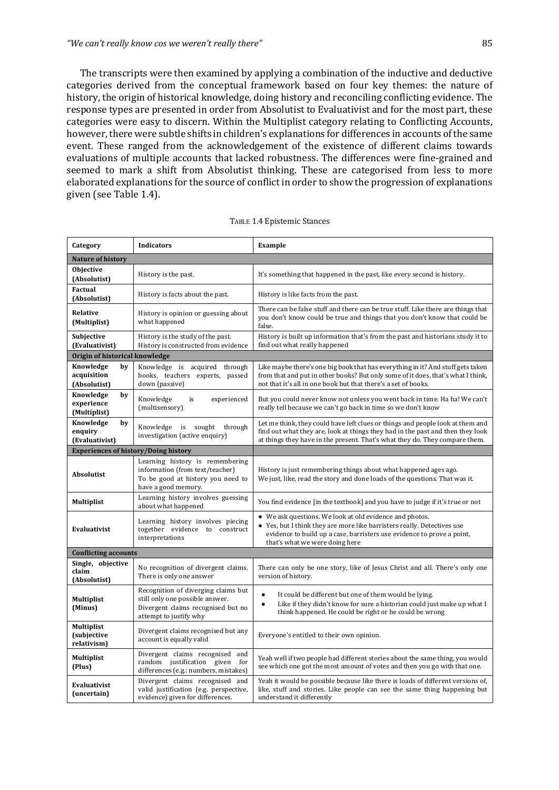The transcripts were then examined by applying a combination of the inductive and deductive categories derived from the conceptual framework based on four key themes: the nature of history, the origin of historical knowledge, doing history and reconciling conflicting evidence. The response types are presented in order from Absolutist to Evaluativist and for the most part, these categories were easy to discern. Within the Multiplist category relating to Conflicting Accounts, however, there were subtle shifts in children's explanations for differences in accounts of the same event. These ranged from the acknowledgement of the existence of different claims towards evaluations of multiple accounts that lacked robustness. The differences were fine-grained and seemed to mark a shift from Absolutist thinking. These are categorised from less to more elaborated explanations for the source of conflict in order to show the progression of explanations given (see Table 1.4).

| Category                                                 | <b>Indicators</b>                                                                                                                      | Example                                                                                                                                                                                                                                         |
|----------------------------------------------------------|----------------------------------------------------------------------------------------------------------------------------------------|-------------------------------------------------------------------------------------------------------------------------------------------------------------------------------------------------------------------------------------------------|
| Nature of history                                        |                                                                                                                                        |                                                                                                                                                                                                                                                 |
| <b>Objective</b><br>History is the past.<br>(Absolutist) |                                                                                                                                        | It's something that happened in the past, like every second is history.                                                                                                                                                                         |
| Factual<br>(Absolutist)                                  | History is facts about the past.                                                                                                       | History is like facts from the past.                                                                                                                                                                                                            |
| Relative<br>(Multiplist)                                 | History is opinion or guessing about<br>what happened                                                                                  | There can be false stuff and there can be true stuff. Like there are things that<br>you don't know could be true and things that you don't know that could be<br>false.                                                                         |
| Subjective<br>(Evaluativist)                             | History is the study of the past.<br>History is constructed from evidence                                                              | History is built up information that's from the past and historians study it to<br>find out what really happened                                                                                                                                |
| Origin of historical knowledge                           |                                                                                                                                        |                                                                                                                                                                                                                                                 |
| Knowledge<br>by<br>acquisition<br>(Absolutist)           | Knowledge is acquired through<br>books, teachers experts, passed<br>down (passive)                                                     | Like maybe there's one big book that has everything in it? And stuff gets taken<br>from that and put in other books? But only some of it does, that's what I think,<br>not that it's all in one book but that there's a set of books.           |
| Knowledge<br>by<br>experience<br>(Multiplist)            | Knowledge<br>experienced<br>is<br>(multisensory)                                                                                       | But you could never know not unless you went back in time. Ha ha! We can't<br>really tell because we can't go back in time so we don't know                                                                                                     |
| Knowledge<br>by<br>enquiry<br>(Evaluativist)             | Knowledge is sought through<br>investigation (active enquiry)                                                                          | Let me think, they could have left clues or things and people look at them and<br>find out what they are, look at things they had in the past and then they look<br>at things they have in the present. That's what they do. They compare them. |
| <b>Experiences of history/Doing history</b>              |                                                                                                                                        |                                                                                                                                                                                                                                                 |
| <b>Absolutist</b>                                        | Learning history is remembering<br>information (from text/teacher)<br>To be good at history you need to<br>have a good memory.         | History is just remembering things about what happened ages ago.<br>We just, like, read the story and done loads of the questions. That was it.                                                                                                 |
| <b>Multiplist</b>                                        | Learning history involves guessing<br>about what happened                                                                              | You find evidence [in the textbook] and you have to judge if it's true or not                                                                                                                                                                   |
| Evaluativist                                             | Learning history involves piecing<br>together evidence to construct<br>interpretations                                                 | • We ask questions. We look at old evidence and photos.<br>Yes, but I think they are more like barristers really. Detectives use<br>evidence to build up a case, barristers use evidence to prove a point,<br>that's what we were doing here    |
| <b>Conflicting accounts</b>                              |                                                                                                                                        |                                                                                                                                                                                                                                                 |
| Single, objective<br>claim<br>(Absolutist)               | No recognition of divergent claims.<br>There is only one answer                                                                        | There can only be one story, like of Jesus Christ and all. There's only one<br>version of history.                                                                                                                                              |
| <b>Multiplist</b><br>(Minus)                             | Recognition of diverging claims but<br>still only one possible answer.<br>Divergent claims recognised but no<br>attempt to justify why | $\bullet$<br>It could be different but one of them would be lying.<br>Like if they didn't know for sure a historian could just make up what I<br>$\bullet$<br>think happened. He could be right or he could be wrong                            |
| <b>Multiplist</b><br><i>(subjective</i><br>relativism)   | Divergent claims recognised but any<br>account is equally valid                                                                        | Everyone's entitled to their own opinion.                                                                                                                                                                                                       |
| <b>Multiplist</b><br>(Plus)                              | Divergent claims recognised and<br>random justification given for<br>differences (e.g.: numbers, mistakes)                             | Yeah well if two people had different stories about the same thing, you would<br>see which one got the most amount of votes and then you go with that one.                                                                                      |
| Evaluativist<br>(uncertain)                              | Divergent claims recognised and<br>valid justification (e.g. perspective,<br>evidence) given for differences.                          | Yeah it would be possible because like there is loads of different versions of,<br>like, stuff and stories. Like people can see the same thing happening but<br>understand it differently                                                       |

#### TABLE 1.4 Epistemic Stances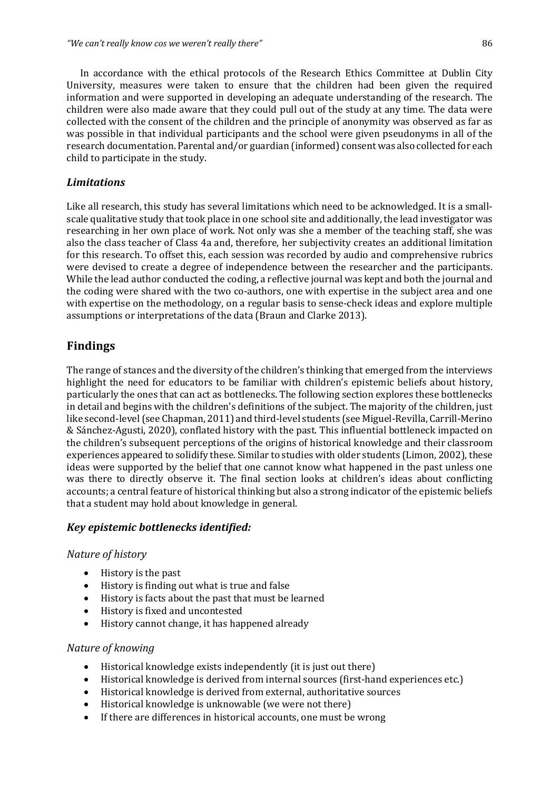In accordance with the ethical protocols of the Research Ethics Committee at Dublin City University, measures were taken to ensure that the children had been given the required information and were supported in developing an adequate understanding of the research. The children were also made aware that they could pull out of the study at any time. The data were collected with the consent of the children and the principle of anonymity was observed as far as was possible in that individual participants and the school were given pseudonyms in all of the research documentation. Parental and/or guardian (informed) consent was also collected for each child to participate in the study.

#### *Limitations*

Like all research, this study has several limitations which need to be acknowledged. It is a smallscale qualitative study that took place in one school site and additionally, the lead investigator was researching in her own place of work. Not only was she a member of the teaching staff, she was also the class teacher of Class 4a and, therefore, her subjectivity creates an additional limitation for this research. To offset this, each session was recorded by audio and comprehensive rubrics were devised to create a degree of independence between the researcher and the participants. While the lead author conducted the coding, a reflective journal was kept and both the journal and the coding were shared with the two co-authors, one with expertise in the subject area and one with expertise on the methodology, on a regular basis to sense-check ideas and explore multiple assumptions or interpretations of the data (Braun and Clarke 2013).

## **Findings**

The range of stances and the diversity of the children's thinking that emerged from the interviews highlight the need for educators to be familiar with children's epistemic beliefs about history, particularly the ones that can act as bottlenecks. The following section explores these bottlenecks in detail and begins with the children's definitions of the subject. The majority of the children, just like second-level (see Chapman, 2011) and third-level students (see Miguel-Revilla, Carrill-Merino & Sánchez-Agusti, 2020), conflated history with the past. This influential bottleneck impacted on the children's subsequent perceptions of the origins of historical knowledge and their classroom experiences appeared to solidify these. Similar to studies with older students (Limon, 2002), these ideas were supported by the belief that one cannot know what happened in the past unless one was there to directly observe it. The final section looks at children's ideas about conflicting accounts; a central feature of historical thinking but also a strong indicator of the epistemic beliefs that a student may hold about knowledge in general.

#### *Key epistemic bottlenecks identified:*

#### *Nature of history*

- History is the past
- History is finding out what is true and false
- History is facts about the past that must be learned
- History is fixed and uncontested
- History cannot change, it has happened already

#### *Nature of knowing*

- $\bullet$  Historical knowledge exists independently (it is just out there)
- Historical knowledge is derived from internal sources (first-hand experiences etc.)
- Historical knowledge is derived from external, authoritative sources
- Historical knowledge is unknowable (we were not there)
- If there are differences in historical accounts, one must be wrong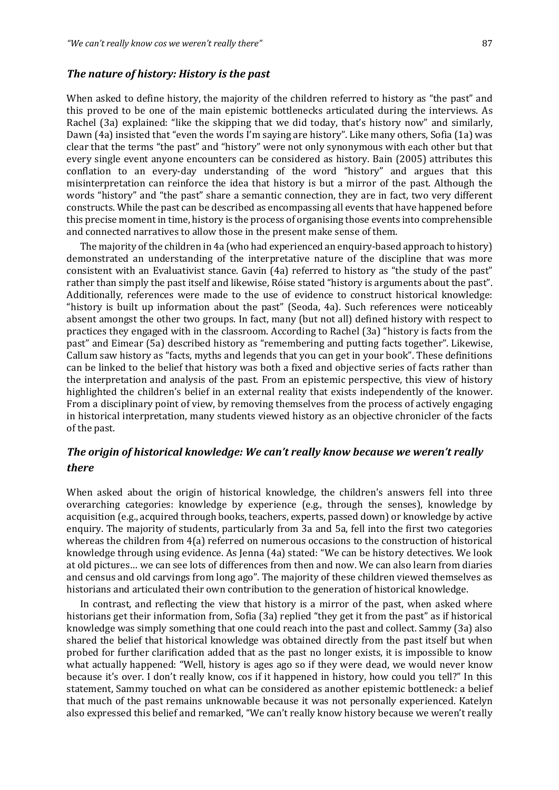#### *The nature of history: History is the past*

When asked to define history, the majority of the children referred to history as "the past" and this proved to be one of the main epistemic bottlenecks articulated during the interviews. As Rachel (3a) explained: "like the skipping that we did today, that's history now" and similarly, Dawn (4a) insisted that "even the words I'm saying are history". Like many others, Sofia (1a) was clear that the terms "the past" and "history" were not only synonymous with each other but that every single event anyone encounters can be considered as history. Bain (2005) attributes this conflation to an every-day understanding of the word "history" and argues that this misinterpretation can reinforce the idea that history is but a mirror of the past. Although the words "history" and "the past" share a semantic connection, they are in fact, two very different constructs. While the past can be described as encompassing all events that have happened before this precise moment in time, history is the process of organising those events into comprehensible and connected narratives to allow those in the present make sense of them.

The majority of the children in 4a (who had experienced an enquiry-based approach to history) demonstrated an understanding of the interpretative nature of the discipline that was more consistent with an Evaluativist stance. Gavin (4a) referred to history as "the study of the past" rather than simply the past itself and likewise, Róise stated "history is arguments about the past". Additionally, references were made to the use of evidence to construct historical knowledge: "history is built up information about the past" (Seoda, 4a). Such references were noticeably absent amongst the other two groups. In fact, many (but not all) defined history with respect to practices they engaged with in the classroom. According to Rachel (3a) "history is facts from the past" and Eimear (5a) described history as "remembering and putting facts together". Likewise, Callum saw history as "facts, myths and legends that you can get in your book". These definitions can be linked to the belief that history was both a fixed and objective series of facts rather than the interpretation and analysis of the past. From an epistemic perspective, this view of history highlighted the children's belief in an external reality that exists independently of the knower. From a disciplinary point of view, by removing themselves from the process of actively engaging in historical interpretation, many students viewed history as an objective chronicler of the facts of the past.

## *The origin of historical knowledge: We can't really know because we weren't really there*

When asked about the origin of historical knowledge, the children's answers fell into three overarching categories: knowledge by experience  $(e.g., through the sense)$ , knowledge by acquisition (e.g., acquired through books, teachers, experts, passed down) or knowledge by active enquiry. The majority of students, particularly from 3a and 5a, fell into the first two categories whereas the children from 4(a) referred on numerous occasions to the construction of historical knowledge through using evidence. As Jenna (4a) stated: "We can be history detectives. We look at old pictures... we can see lots of differences from then and now. We can also learn from diaries and census and old carvings from long ago". The majority of these children viewed themselves as historians and articulated their own contribution to the generation of historical knowledge.

In contrast, and reflecting the view that history is a mirror of the past, when asked where historians get their information from, Sofia (3a) replied "they get it from the past" as if historical knowledge was simply something that one could reach into the past and collect. Sammy (3a) also shared the belief that historical knowledge was obtained directly from the past itself but when probed for further clarification added that as the past no longer exists, it is impossible to know what actually happened: "Well, history is ages ago so if they were dead, we would never know because it's over. I don't really know, cos if it happened in history, how could you tell?" In this statement, Sammy touched on what can be considered as another epistemic bottleneck: a belief that much of the past remains unknowable because it was not personally experienced. Katelyn also expressed this belief and remarked, "We can't really know history because we weren't really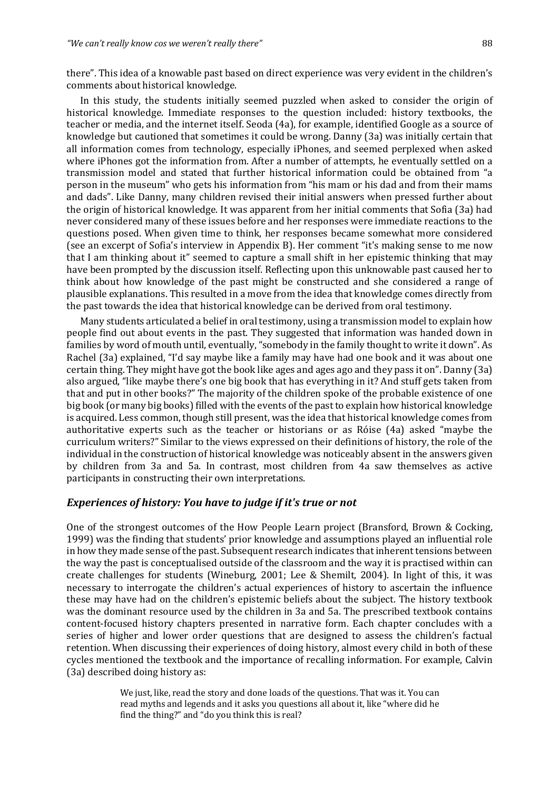there". This idea of a knowable past based on direct experience was very evident in the children's comments about historical knowledge.

In this study, the students initially seemed puzzled when asked to consider the origin of historical knowledge. Immediate responses to the question included: history textbooks, the teacher or media, and the internet itself. Seoda (4a), for example, identified Google as a source of knowledge but cautioned that sometimes it could be wrong. Danny (3a) was initially certain that all information comes from technology, especially iPhones, and seemed perplexed when asked where iPhones got the information from. After a number of attempts, he eventually settled on a transmission model and stated that further historical information could be obtained from "a person in the museum" who gets his information from "his mam or his dad and from their mams and dads". Like Danny, many children revised their initial answers when pressed further about the origin of historical knowledge. It was apparent from her initial comments that Sofia (3a) had never considered many of these issues before and her responses were immediate reactions to the questions posed. When given time to think, her responses became somewhat more considered (see an excerpt of Sofia's interview in Appendix B). Her comment "it's making sense to me now that I am thinking about it" seemed to capture a small shift in her epistemic thinking that may have been prompted by the discussion itself. Reflecting upon this unknowable past caused her to think about how knowledge of the past might be constructed and she considered a range of plausible explanations. This resulted in a move from the idea that knowledge comes directly from the past towards the idea that historical knowledge can be derived from oral testimony.

Many students articulated a belief in oral testimony, using a transmission model to explain how people find out about events in the past. They suggested that information was handed down in families by word of mouth until, eventually, "somebody in the family thought to write it down". As Rachel (3a) explained, "I'd say maybe like a family may have had one book and it was about one certain thing. They might have got the book like ages and ages ago and they pass it on". Danny (3a) also argued, "like maybe there's one big book that has everything in it? And stuff gets taken from that and put in other books?" The majority of the children spoke of the probable existence of one big book (or many big books) filled with the events of the past to explain how historical knowledge is acquired. Less common, though still present, was the idea that historical knowledge comes from authoritative experts such as the teacher or historians or as Róise (4a) asked "maybe the curriculum writers?" Similar to the views expressed on their definitions of history, the role of the individual in the construction of historical knowledge was noticeably absent in the answers given by children from 3a and 5a. In contrast, most children from 4a saw themselves as active participants in constructing their own interpretations.

#### *Experiences of history: You have to judge if it's true or not*

One of the strongest outcomes of the How People Learn project (Bransford, Brown & Cocking, 1999) was the finding that students' prior knowledge and assumptions played an influential role in how they made sense of the past. Subsequent research indicates that inherent tensions between the way the past is conceptualised outside of the classroom and the way it is practised within can create challenges for students (Wineburg, 2001; Lee & Shemilt, 2004). In light of this, it was necessary to interrogate the children's actual experiences of history to ascertain the influence these may have had on the children's epistemic beliefs about the subject. The history textbook was the dominant resource used by the children in 3a and 5a. The prescribed textbook contains content-focused history chapters presented in narrative form. Each chapter concludes with a series of higher and lower order questions that are designed to assess the children's factual retention. When discussing their experiences of doing history, almost every child in both of these cycles mentioned the textbook and the importance of recalling information. For example, Calvin (3a) described doing history as:

> We just, like, read the story and done loads of the questions. That was it. You can read myths and legends and it asks you questions all about it, like "where did he find the thing?" and "do you think this is real?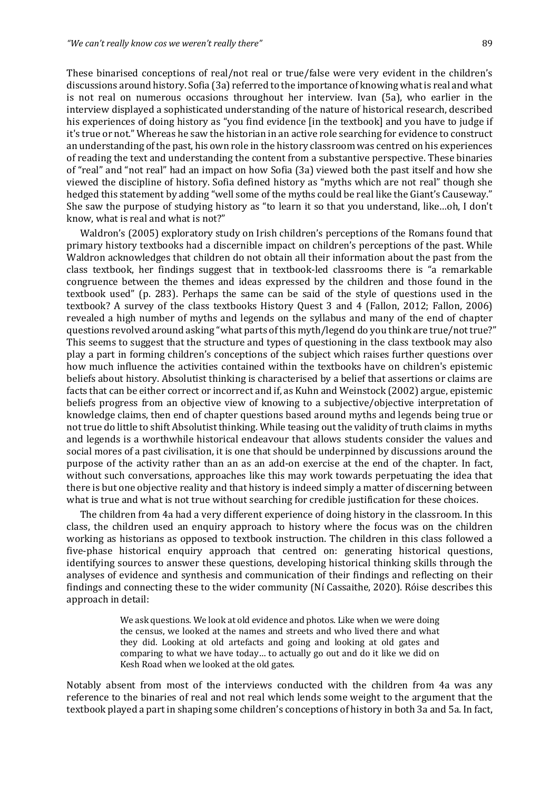These binarised conceptions of real/not real or true/false were very evident in the children's discussions around history. Sofia (3a) referred to the importance of knowing what is real and what is not real on numerous occasions throughout her interview. Ivan (5a), who earlier in the interview displayed a sophisticated understanding of the nature of historical research, described his experiences of doing history as "you find evidence [in the textbook] and you have to judge if it's true or not." Whereas he saw the historian in an active role searching for evidence to construct an understanding of the past, his own role in the history classroom was centred on his experiences of reading the text and understanding the content from a substantive perspective. These binaries of "real" and "not real" had an impact on how Sofia (3a) viewed both the past itself and how she viewed the discipline of history. Sofia defined history as "myths which are not real" though she hedged this statement by adding "well some of the myths could be real like the Giant's Causeway." She saw the purpose of studying history as "to learn it so that you understand, like...oh, I don't know, what is real and what is not?"

Waldron's (2005) exploratory study on Irish children's perceptions of the Romans found that primary history textbooks had a discernible impact on children's perceptions of the past. While Waldron acknowledges that children do not obtain all their information about the past from the class textbook, her findings suggest that in textbook-led classrooms there is "a remarkable congruence between the themes and ideas expressed by the children and those found in the textbook used" (p. 283). Perhaps the same can be said of the style of questions used in the textbook? A survey of the class textbooks History Quest 3 and 4 (Fallon, 2012; Fallon, 2006) revealed a high number of myths and legends on the syllabus and many of the end of chapter questions revolved around asking "what parts of this myth/legend do you think are true/not true?" This seems to suggest that the structure and types of questioning in the class textbook may also play a part in forming children's conceptions of the subject which raises further questions over how much influence the activities contained within the textbooks have on children's epistemic beliefs about history. Absolutist thinking is characterised by a belief that assertions or claims are facts that can be either correct or incorrect and if, as Kuhn and Weinstock (2002) argue, epistemic beliefs progress from an objective view of knowing to a subjective/objective interpretation of knowledge claims, then end of chapter questions based around myths and legends being true or not true do little to shift Absolutist thinking. While teasing out the validity of truth claims in myths and legends is a worthwhile historical endeavour that allows students consider the values and social mores of a past civilisation, it is one that should be underpinned by discussions around the purpose of the activity rather than an as an add-on exercise at the end of the chapter. In fact, without such conversations, approaches like this may work towards perpetuating the idea that there is but one objective reality and that history is indeed simply a matter of discerning between what is true and what is not true without searching for credible justification for these choices.

The children from 4a had a very different experience of doing history in the classroom. In this class, the children used an enquiry approach to history where the focus was on the children working as historians as opposed to textbook instruction. The children in this class followed a five-phase historical enquiry approach that centred on: generating historical questions, identifying sources to answer these questions, developing historical thinking skills through the analyses of evidence and synthesis and communication of their findings and reflecting on their findings and connecting these to the wider community (Ní Cassaithe, 2020). Róise describes this approach in detail:

> We ask questions. We look at old evidence and photos. Like when we were doing the census, we looked at the names and streets and who lived there and what they did. Looking at old artefacts and going and looking at old gates and comparing to what we have today... to actually go out and do it like we did on Kesh Road when we looked at the old gates.

Notably absent from most of the interviews conducted with the children from 4a was any reference to the binaries of real and not real which lends some weight to the argument that the textbook played a part in shaping some children's conceptions of history in both 3a and 5a. In fact,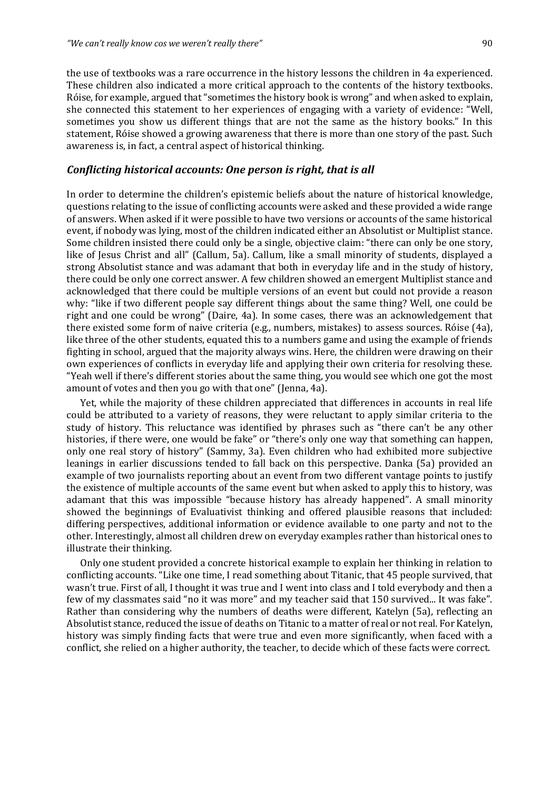the use of textbooks was a rare occurrence in the history lessons the children in 4a experienced. These children also indicated a more critical approach to the contents of the history textbooks. Róise, for example, argued that "sometimes the history book is wrong" and when asked to explain, she connected this statement to her experiences of engaging with a variety of evidence: "Well, sometimes you show us different things that are not the same as the history books." In this statement, Róise showed a growing awareness that there is more than one story of the past. Such awareness is, in fact, a central aspect of historical thinking.

#### *Conflicting historical accounts: One person is right, that is all*

In order to determine the children's epistemic beliefs about the nature of historical knowledge, questions relating to the issue of conflicting accounts were asked and these provided a wide range of answers. When asked if it were possible to have two versions or accounts of the same historical event, if nobody was lying, most of the children indicated either an Absolutist or Multiplist stance. Some children insisted there could only be a single, objective claim: "there can only be one story, like of Jesus Christ and all" (Callum, 5a). Callum, like a small minority of students, displayed a strong Absolutist stance and was adamant that both in everyday life and in the study of history, there could be only one correct answer. A few children showed an emergent Multiplist stance and acknowledged that there could be multiple versions of an event but could not provide a reason why: "like if two different people say different things about the same thing? Well, one could be right and one could be wrong" (Daire, 4a). In some cases, there was an acknowledgement that there existed some form of naive criteria (e.g., numbers, mistakes) to assess sources. Róise  $(4a)$ , like three of the other students, equated this to a numbers game and using the example of friends fighting in school, argued that the majority always wins. Here, the children were drawing on their own experiences of conflicts in everyday life and applying their own criteria for resolving these. "Yeah well if there's different stories about the same thing, you would see which one got the most amount of votes and then you go with that one" (Jenna, 4a).

Yet, while the majority of these children appreciated that differences in accounts in real life could be attributed to a variety of reasons, they were reluctant to apply similar criteria to the study of history. This reluctance was identified by phrases such as "there can't be any other histories, if there were, one would be fake" or "there's only one way that something can happen, only one real story of history" (Sammy, 3a). Even children who had exhibited more subjective leanings in earlier discussions tended to fall back on this perspective. Danka (5a) provided an example of two journalists reporting about an event from two different vantage points to justify the existence of multiple accounts of the same event but when asked to apply this to history, was adamant that this was impossible "because history has already happened". A small minority showed the beginnings of Evaluativist thinking and offered plausible reasons that included: differing perspectives, additional information or evidence available to one party and not to the other. Interestingly, almost all children drew on everyday examples rather than historical ones to illustrate their thinking.

Only one student provided a concrete historical example to explain her thinking in relation to conflicting accounts. "Like one time, I read something about Titanic, that 45 people survived, that wasn't true. First of all, I thought it was true and I went into class and I told everybody and then a few of my classmates said "no it was more" and my teacher said that 150 survived... It was fake". Rather than considering why the numbers of deaths were different, Katelyn (5a), reflecting an Absolutist stance, reduced the issue of deaths on Titanic to a matter of real or not real. For Katelyn, history was simply finding facts that were true and even more significantly, when faced with a conflict, she relied on a higher authority, the teacher, to decide which of these facts were correct.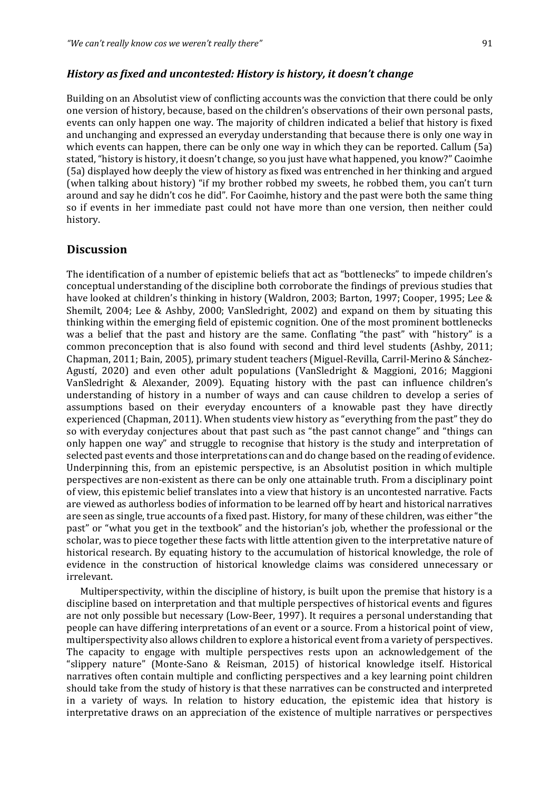#### *History as fixed and uncontested: History is history, it doesn't change*

Building on an Absolutist view of conflicting accounts was the conviction that there could be only one version of history, because, based on the children's observations of their own personal pasts, events can only happen one way. The majority of children indicated a belief that history is fixed and unchanging and expressed an everyday understanding that because there is only one way in which events can happen, there can be only one way in which they can be reported. Callum  $(5a)$ stated, "history is history, it doesn't change, so you just have what happened, you know?" Caoimhe (5a) displayed how deeply the view of history as fixed was entrenched in her thinking and argued (when talking about history) "if my brother robbed my sweets, he robbed them, you can't turn around and say he didn't cos he did". For Caoimhe, history and the past were both the same thing so if events in her immediate past could not have more than one version, then neither could history.

### **Discussion**

The identification of a number of epistemic beliefs that act as "bottlenecks" to impede children's conceptual understanding of the discipline both corroborate the findings of previous studies that have looked at children's thinking in history (Waldron, 2003; Barton, 1997; Cooper, 1995; Lee & Shemilt,  $2004$ ; Lee & Ashby,  $2000$ ; VanSledright,  $2002$ ) and expand on them by situating this thinking within the emerging field of epistemic cognition. One of the most prominent bottlenecks was a belief that the past and history are the same. Conflating "the past" with "history" is a common preconception that is also found with second and third level students (Ashby, 2011; Chapman, 2011; Bain, 2005), primary student teachers (Miguel-Revilla, Carril-Merino & Sánchez-Agustí, 2020) and even other adult populations (VanSledright & Maggioni, 2016; Maggioni VanSledright & Alexander, 2009). Equating history with the past can influence children's understanding of history in a number of ways and can cause children to develop a series of assumptions based on their everyday encounters of a knowable past they have directly experienced (Chapman, 2011). When students view history as "everything from the past" they do so with everyday conjectures about that past such as "the past cannot change" and "things can only happen one way" and struggle to recognise that history is the study and interpretation of selected past events and those interpretations can and do change based on the reading of evidence. Underpinning this, from an epistemic perspective, is an Absolutist position in which multiple perspectives are non-existent as there can be only one attainable truth. From a disciplinary point of view, this epistemic belief translates into a view that history is an uncontested narrative. Facts are viewed as authorless bodies of information to be learned off by heart and historical narratives are seen as single, true accounts of a fixed past. History, for many of these children, was either "the past" or "what you get in the textbook" and the historian's job, whether the professional or the scholar, was to piece together these facts with little attention given to the interpretative nature of historical research. By equating history to the accumulation of historical knowledge, the role of evidence in the construction of historical knowledge claims was considered unnecessary or irrelevant.

Multiperspectivity, within the discipline of history, is built upon the premise that history is a discipline based on interpretation and that multiple perspectives of historical events and figures are not only possible but necessary (Low-Beer, 1997). It requires a personal understanding that people can have differing interpretations of an event or a source. From a historical point of view, multiperspectivity also allows children to explore a historical event from a variety of perspectives. The capacity to engage with multiple perspectives rests upon an acknowledgement of the "slippery nature" (Monte-Sano & Reisman, 2015) of historical knowledge itself. Historical narratives often contain multiple and conflicting perspectives and a key learning point children should take from the study of history is that these narratives can be constructed and interpreted in a variety of ways. In relation to history education, the epistemic idea that history is interpretative draws on an appreciation of the existence of multiple narratives or perspectives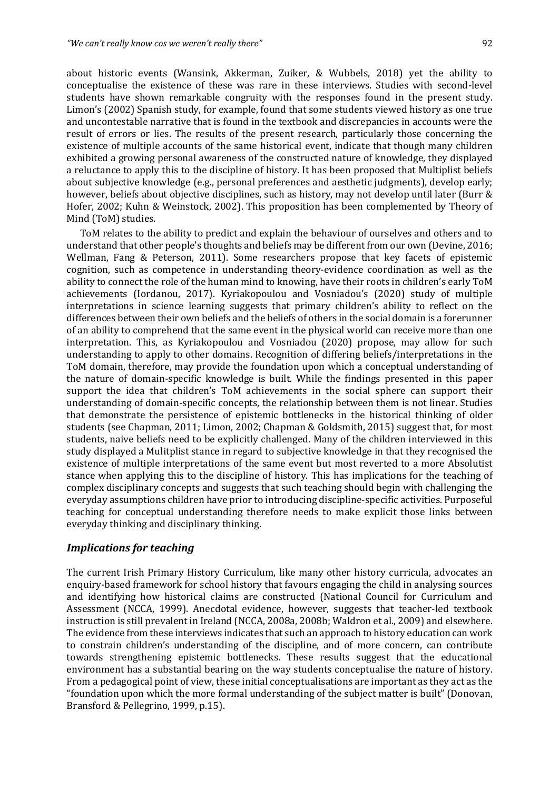about historic events (Wansink, Akkerman, Zuiker,  $&$  Wubbels, 2018) yet the ability to conceptualise the existence of these was rare in these interviews. Studies with second-level students have shown remarkable congruity with the responses found in the present study. Limon's (2002) Spanish study, for example, found that some students viewed history as one true and uncontestable narrative that is found in the textbook and discrepancies in accounts were the result of errors or lies. The results of the present research, particularly those concerning the existence of multiple accounts of the same historical event, indicate that though many children exhibited a growing personal awareness of the constructed nature of knowledge, they displayed a reluctance to apply this to the discipline of history. It has been proposed that Multiplist beliefs about subjective knowledge (e.g., personal preferences and aesthetic judgments), develop early; however, beliefs about objective disciplines, such as history, may not develop until later (Burr & Hofer, 2002; Kuhn & Weinstock, 2002). This proposition has been complemented by Theory of Mind (ToM) studies.

ToM relates to the ability to predict and explain the behaviour of ourselves and others and to understand that other people's thoughts and beliefs may be different from our own (Devine, 2016; Wellman, Fang & Peterson, 2011). Some researchers propose that key facets of epistemic cognition, such as competence in understanding theory-evidence coordination as well as the ability to connect the role of the human mind to knowing, have their roots in children's early ToM achievements (Iordanou, 2017). Kyriakopoulou and Vosniadou's (2020) study of multiple interpretations in science learning suggests that primary children's ability to reflect on the differences between their own beliefs and the beliefs of others in the social domain is a forerunner of an ability to comprehend that the same event in the physical world can receive more than one interpretation. This, as Kyriakopoulou and Vosniadou (2020) propose, may allow for such understanding to apply to other domains. Recognition of differing beliefs/interpretations in the ToM domain, therefore, may provide the foundation upon which a conceptual understanding of the nature of domain-specific knowledge is built. While the findings presented in this paper support the idea that children's ToM achievements in the social sphere can support their understanding of domain-specific concepts, the relationship between them is not linear. Studies that demonstrate the persistence of epistemic bottlenecks in the historical thinking of older students (see Chapman, 2011; Limon, 2002; Chapman & Goldsmith, 2015) suggest that, for most students, naive beliefs need to be explicitly challenged. Many of the children interviewed in this study displayed a Mulitplist stance in regard to subjective knowledge in that they recognised the existence of multiple interpretations of the same event but most reverted to a more Absolutist stance when applying this to the discipline of history. This has implications for the teaching of complex disciplinary concepts and suggests that such teaching should begin with challenging the everyday assumptions children have prior to introducing discipline-specific activities. Purposeful teaching for conceptual understanding therefore needs to make explicit those links between everyday thinking and disciplinary thinking.

#### *Implications for teaching*

The current Irish Primary History Curriculum, like many other history curricula, advocates an enquiry-based framework for school history that favours engaging the child in analysing sources and identifying how historical claims are constructed (National Council for Curriculum and Assessment (NCCA, 1999). Anecdotal evidence, however, suggests that teacher-led textbook instruction is still prevalent in Ireland (NCCA, 2008a, 2008b; Waldron et al., 2009) and elsewhere. The evidence from these interviews indicates that such an approach to history education can work to constrain children's understanding of the discipline, and of more concern, can contribute towards strengthening epistemic bottlenecks. These results suggest that the educational environment has a substantial bearing on the way students conceptualise the nature of history. From a pedagogical point of view, these initial conceptualisations are important as they act as the "foundation upon which the more formal understanding of the subject matter is built" (Donovan, Bransford & Pellegrino, 1999, p.15).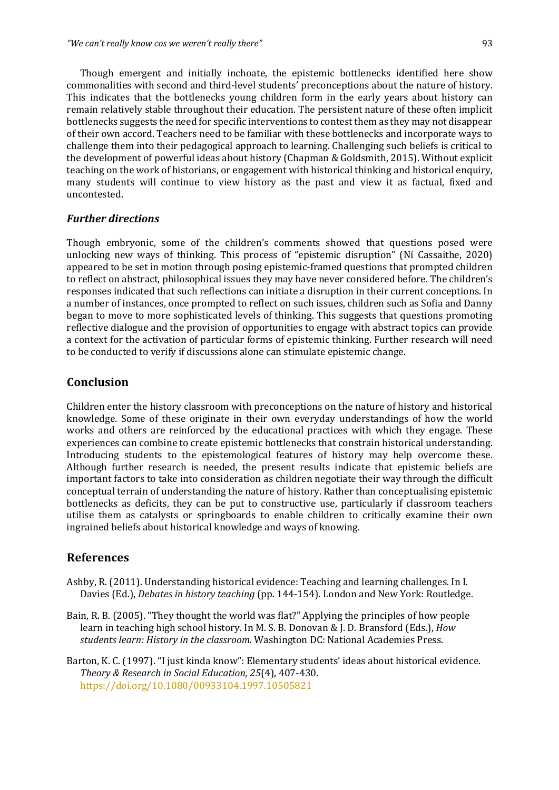Though emergent and initially inchoate, the epistemic bottlenecks identified here show commonalities with second and third-level students' preconceptions about the nature of history. This indicates that the bottlenecks young children form in the early years about history can remain relatively stable throughout their education. The persistent nature of these often implicit bottlenecks suggests the need for specific interventions to contest them as they may not disappear of their own accord. Teachers need to be familiar with these bottlenecks and incorporate ways to challenge them into their pedagogical approach to learning. Challenging such beliefs is critical to the development of powerful ideas about history (Chapman & Goldsmith, 2015). Without explicit teaching on the work of historians, or engagement with historical thinking and historical enquiry, many students will continue to view history as the past and view it as factual, fixed and uncontested.

#### *Further directions*

Though embryonic, some of the children's comments showed that questions posed were unlocking new ways of thinking. This process of "epistemic disruption" (Ní Cassaithe, 2020) appeared to be set in motion through posing epistemic-framed questions that prompted children to reflect on abstract, philosophical issues they may have never considered before. The children's responses indicated that such reflections can initiate a disruption in their current conceptions. In a number of instances, once prompted to reflect on such issues, children such as Sofia and Danny began to move to more sophisticated levels of thinking. This suggests that questions promoting reflective dialogue and the provision of opportunities to engage with abstract topics can provide a context for the activation of particular forms of epistemic thinking. Further research will need to be conducted to verify if discussions alone can stimulate epistemic change.

#### **Conclusion**

Children enter the history classroom with preconceptions on the nature of history and historical knowledge. Some of these originate in their own everyday understandings of how the world works and others are reinforced by the educational practices with which they engage. These experiences can combine to create epistemic bottlenecks that constrain historical understanding. Introducing students to the epistemological features of history may help overcome these. Although further research is needed, the present results indicate that epistemic beliefs are important factors to take into consideration as children negotiate their way through the difficult conceptual terrain of understanding the nature of history. Rather than conceptualising epistemic bottlenecks as deficits, they can be put to constructive use, particularly if classroom teachers utilise them as catalysts or springboards to enable children to critically examine their own ingrained beliefs about historical knowledge and ways of knowing.

#### **References**

- Ashby, R. (2011). Understanding historical evidence: Teaching and learning challenges. In I. Davies (Ed.), *Debates in history teaching* (pp. 144-154). London and New York: Routledge.
- Bain, R. B. (2005). "They thought the world was flat?" Applying the principles of how people learn in teaching high school history. In M. S. B. Donovan & J. D. Bransford (Eds.), *How* students *learn: History in the classroom*. Washington DC: National Academies Press.
- Barton, K. C. (1997). "I just kinda know": Elementary students' ideas about historical evidence. *Theory & Research in Social Education, 25*(4), 407-430. https://doi.org/10.1080/00933104.1997.10505821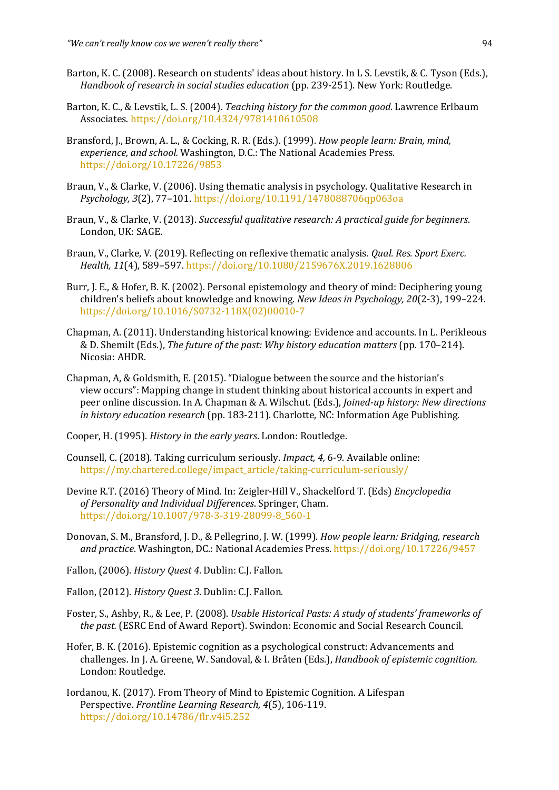- Barton, K. C. (2008). Research on students' ideas about history. In L S. Levstik, & C. Tyson (Eds.), *Handbook of research in social studies education* (pp. 239-251). New York: Routledge.
- Barton, K. C., & Levstik, L. S. (2004). *Teaching history for the common good*. Lawrence Erlbaum Associates. https://doi.org/10.4324/9781410610508
- Bransford, J., Brown, A. L., & Cocking, R. R. (Eds.). (1999). *How people learn: Brain, mind,* experience, and school. Washington, D.C.: The National Academies Press. https://doi.org/10.17226/9853
- Braun, V., & Clarke, V. (2006). Using thematic analysis in psychology. Qualitative Research in Psychology, 3(2), 77-101. https://doi.org/10.1191/1478088706qp063oa
- Braun, V., & Clarke, V. (2013). *Successful qualitative research: A practical quide for beginners.* London, UK: SAGE.
- Braun, V., Clarke, V. (2019). Reflecting on reflexive thematic analysis. *Qual. Res. Sport Exerc. Health, 11*(4), 589–597. https://doi.org/10.1080/2159676X.2019.1628806
- Burr, J. E., & Hofer, B. K. (2002). Personal epistemology and theory of mind: Deciphering young children's beliefs about knowledge and knowing. *New Ideas in Psychology, 20*(2-3), 199–224. https://doi.org/10.1016/S0732-118X(02)00010-7
- Chapman, A. (2011). Understanding historical knowing: Evidence and accounts. In L. Perikleous & D. Shemilt (Eds.), *The future of the past: Why history education matters* (pp. 170–214). Nicosia: AHDR.
- Chapman, A, & Goldsmith, E.  $(2015)$ . "Dialogue between the source and the historian's view occurs": Mapping change in student thinking about historical accounts in expert and peer online discussion. In A. Chapman & A. Wilschut. (Eds.), *Joined-up history: New directions in history education research* (pp. 183-211). Charlotte, NC: Information Age Publishing.
- Cooper, H. (1995). *History in the early years*. London: Routledge.
- Counsell, C. (2018). Taking curriculum seriously. *Impact. 4, 6-9*. Available online: https://my.chartered.college/impact\_article/taking-curriculum-seriously/
- Devine R.T. (2016) Theory of Mind. In: Zeigler-Hill V., Shackelford T. (Eds) *Encyclopedia of Personality and Individual Differences*. Springer, Cham. https://doi.org/10.1007/978-3-319-28099-8\_560-1
- Donovan, S. M., Bransford, J. D., & Pellegrino, J. W. (1999). *How people learn: Bridging, research* and practice. Washington, DC.: National Academies Press. https://doi.org/10.17226/9457
- Fallon, (2006). *History Quest 4*. Dublin: C.J. Fallon.
- Fallon, (2012). *History Quest 3*. Dublin: C.J. Fallon.
- Foster, S., Ashby, R., & Lee, P. (2008). *Usable Historical Pasts: A study of students' frameworks of the past.* (ESRC End of Award Report). Swindon: Economic and Social Research Council.
- Hofer, B. K. (2016). Epistemic cognition as a psychological construct: Advancements and challenges. In J. A. Greene, W. Sandoval, & I. Bråten (Eds.), *Handbook of epistemic cognition.* London: Routledge.
- Iordanou, K. (2017). From Theory of Mind to Epistemic Cognition. A Lifespan Perspective. *Frontline Learning Research*, 4(5), 106-119. https://doi.org/10.14786/flr.v4i5.252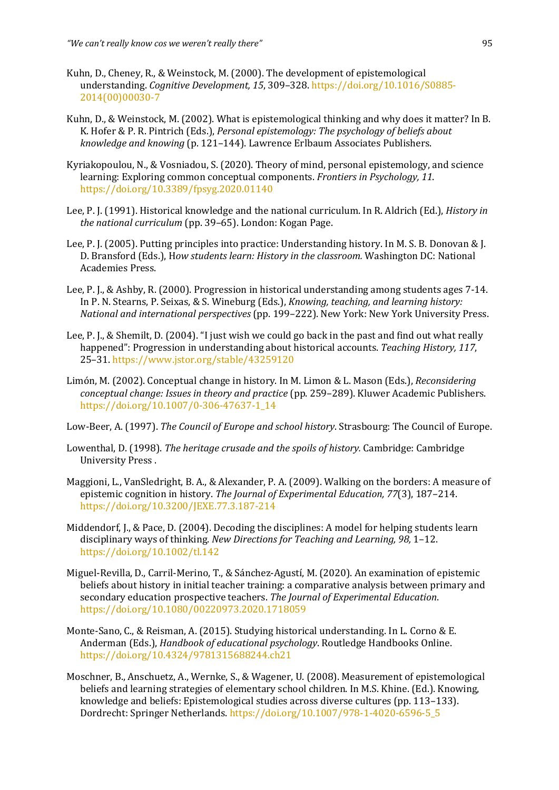- Kuhn, D., Cheney, R., & Weinstock, M. (2000). The development of epistemological understanding. *Cognitive Development,* 15, 309–328. https://doi.org/10.1016/S0885-2014(00)00030-7
- Kuhn, D., & Weinstock, M. (2002). What is epistemological thinking and why does it matter? In B. K. Hofer & P. R. Pintrich (Eds.). *Personal epistemology: The psychology of beliefs about knowledge and knowing* (p. 121–144). Lawrence Erlbaum Associates Publishers.
- Kyriakopoulou, N., & Vosniadou, S. (2020). Theory of mind, personal epistemology, and science learning: Exploring common conceptual components. *Frontiers in Psychology, 11*. https://doi.org/10.3389/fpsyg.2020.01140
- Lee, P. J. (1991). Historical knowledge and the national curriculum. In R. Aldrich (Ed.), *History in the national curriculum* (pp. 39–65). London: Kogan Page.
- Lee, P. J. (2005). Putting principles into practice: Understanding history. In M. S. B. Donovan & J. D. Bransford (Eds.), How students learn: History in the classroom. Washington DC: National Academies Press.
- Lee, P. J., & Ashby, R. (2000). Progression in historical understanding among students ages 7-14. In P. N. Stearns, P. Seixas, & S. Wineburg (Eds.), *Knowing, teaching, and learning history: National and international perspectives* (pp. 199–222). New York: New York University Press.
- Lee, P. J., & Shemilt, D. (2004). "I just wish we could go back in the past and find out what really happened": Progression in understanding about historical accounts. *Teaching History, 117*, 25–31. https://www.jstor.org/stable/43259120
- Limón, M. (2002). Conceptual change in history. In M. Limon & L. Mason (Eds.), *Reconsidering conceptual change: Issues in theory and practice* (pp. 259–289). Kluwer Academic Publishers. https://doi.org/10.1007/0-306-47637-1\_14
- Low-Beer, A. (1997). *The Council of Europe and school history*. Strasbourg: The Council of Europe.
- Lowenthal, D. (1998). *The heritage crusade and the spoils of history.* Cambridge: Cambridge University Press.
- Maggioni, L., VanSledright, B. A., & Alexander, P. A. (2009). Walking on the borders: A measure of epistemic cognition in history. The Journal of Experimental Education, 77(3), 187-214. https://doi.org/10.3200/JEXE.77.3.187-214
- Middendorf, J., & Pace, D. (2004). Decoding the disciplines: A model for helping students learn disciplinary ways of thinking. *New Directions for Teaching and Learning*, 98, 1–12. https://doi.org/10.1002/tl.142
- Miguel-Revilla, D., Carril-Merino, T., & Sánchez-Agustí, M. (2020). An examination of epistemic beliefs about history in initial teacher training: a comparative analysis between primary and secondary education prospective teachers. The *Journal of Experimental Education*. https://doi.org/10.1080/00220973.2020.1718059
- Monte-Sano, C., & Reisman, A. (2015). Studying historical understanding. In L. Corno & E. Anderman (Eds.), *Handbook of educational psychology*. Routledge Handbooks Online. https://doi.org/10.4324/9781315688244.ch21
- Moschner, B., Anschuetz, A., Wernke, S., & Wagener, U. (2008). Measurement of epistemological beliefs and learning strategies of elementary school children. In M.S. Khine. (Ed.). Knowing, knowledge and beliefs: Epistemological studies across diverse cultures (pp. 113-133). Dordrecht: Springer Netherlands. https://doi.org/10.1007/978-1-4020-6596-5\_5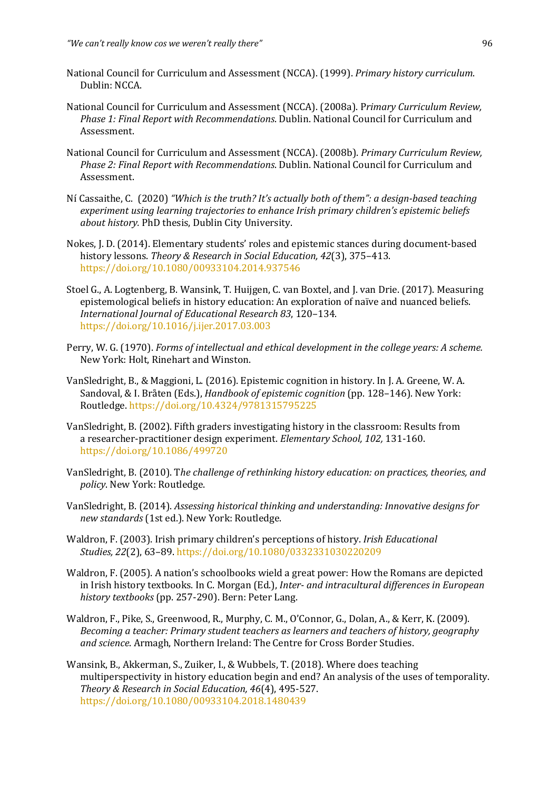- National Council for Curriculum and Assessment (NCCA). (1999). *Primary history curriculum*. Dublin: NCCA.
- National Council for Curriculum and Assessment (NCCA). (2008a). Primary Curriculum Review, *Phase 1: Final Report with Recommendations*. Dublin. National Council for Curriculum and Assessment.
- National Council for Curriculum and Assessment (NCCA). (2008b). *Primary Curriculum Review*, *Phase 2: Final Report with Recommendations*. Dublin. National Council for Curriculum and Assessment.
- Ní Cassaithe, C. (2020) "Which is the truth? It's actually both of them": a design-based teaching experiment using learning trajectories to enhance Irish primary children's epistemic beliefs *about history.* PhD thesis, Dublin City University.
- Nokes, J. D. (2014). Elementary students' roles and epistemic stances during document-based history lessons. Theory & Research in Social Education, 42(3), 375-413. https://doi.org/10.1080/00933104.2014.937546
- Stoel G., A. Logtenberg, B. Wansink, T. Huijgen, C. van Boxtel, and J. van Drie. (2017). Measuring epistemological beliefs in history education: An exploration of naïve and nuanced beliefs. *International Journal of Educational Research 83*, 120–134. https://doi.org/10.1016/j.ijer.2017.03.003
- Perry, W. G. (1970). *Forms of intellectual and ethical development in the college years: A scheme.* New York: Holt, Rinehart and Winston.
- VanSledright, B., & Maggioni, L. (2016). Epistemic cognition in history. In J. A. Greene, W. A. Sandoval, & I. Bråten (Eds.), *Handbook of epistemic cognition* (pp. 128–146). New York: Routledge. https://doi.org/10.4324/9781315795225
- VanSledright, B. (2002). Fifth graders investigating history in the classroom: Results from a researcher-practitioner design experiment. *Elementary School, 102, 131-160*. https://doi.org/10.1086/499720
- VanSledright, B. (2010). The challenge of rethinking history education: on practices, theories, and policy. New York: Routledge.
- VanSledright, B. (2014). Assessing historical thinking and understanding: Innovative designs for new standards (1st ed.). New York: Routledge.
- Waldron, F. (2003). Irish primary children's perceptions of history. *Irish Educational Studies, 22*(2), 63–89. https://doi.org/10.1080/0332331030220209
- Waldron, F. (2005). A nation's schoolbooks wield a great power: How the Romans are depicted in Irish history textbooks. In C. Morgan (Ed.), *Inter- and intracultural differences in European* history textbooks (pp. 257-290). Bern: Peter Lang.
- Waldron, F., Pike, S., Greenwood, R., Murphy, C. M., O'Connor, G., Dolan, A., & Kerr, K. (2009). *Becoming a teacher: Primary student teachers as learners and teachers of history, geography* and science. Armagh, Northern Ireland: The Centre for Cross Border Studies.
- Wansink, B., Akkerman, S., Zuiker, I., & Wubbels, T. (2018). Where does teaching multiperspectivity in history education begin and end? An analysis of the uses of temporality. *Theory & Research in Social Education, 46*(4), 495-527. https://doi.org/10.1080/00933104.2018.1480439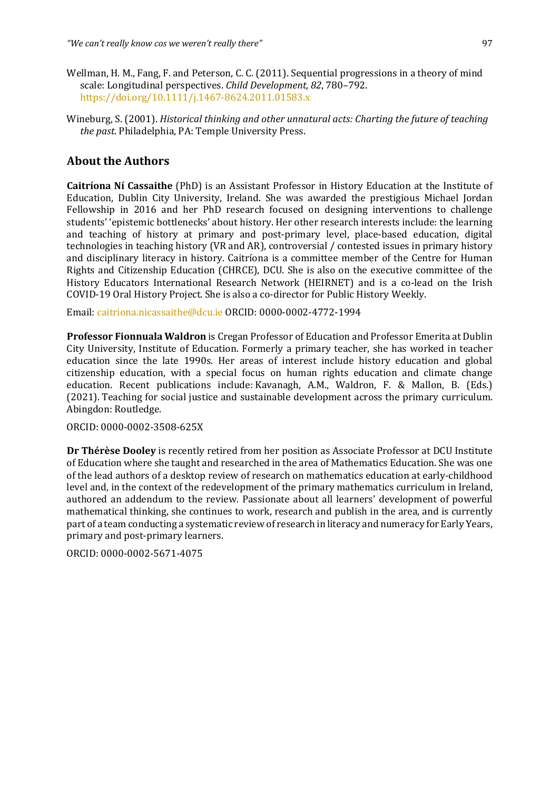- Wellman, H. M., Fang, F. and Peterson, C. C. (2011). Sequential progressions in a theory of mind scale: Longitudinal perspectives. *Child Development*, 82, 780-792. https://doi.org/10.1111/j.1467-8624.2011.01583.x
- Wineburg, S. (2001). *Historical thinking and other unnatural acts: Charting the future of teaching the past*. Philadelphia, PA: Temple University Press.

## **About the Authors**

**Caitríona Ní Cassaithe** (PhD) is an Assistant Professor in History Education at the Institute of Education, Dublin City University, Ireland. She was awarded the prestigious Michael Jordan Fellowship in 2016 and her PhD research focused on designing interventions to challenge students' 'epistemic bottlenecks' about history. Her other research interests include: the learning and teaching of history at primary and post-primary level, place-based education, digital technologies in teaching history (VR and AR), controversial / contested issues in primary history and disciplinary literacy in history. Caitríona is a committee member of the Centre for Human Rights and Citizenship Education (CHRCE), DCU. She is also on the executive committee of the History Educators International Research Network (HEIRNET) and is a co-lead on the Irish COVID-19 Oral History Project. She is also a co-director for Public History Weekly.

Email: caitriona.nicassaithe@dcu.ie ORCID: 0000-0002-4772-1994

**Professor Fionnuala Waldron** is Cregan Professor of Education and Professor Emerita at Dublin City University, Institute of Education. Formerly a primary teacher, she has worked in teacher education since the late 1990s. Her areas of interest include history education and global citizenship education, with a special focus on human rights education and climate change education. Recent publications include: Kavanagh, A.M., Waldron, F. & Mallon, B. (Eds.) (2021). Teaching for social justice and sustainable development across the primary curriculum. Abingdon: Routledge.

ORCID: 0000-0002-3508-625X 

**Dr Thérèse Dooley** is recently retired from her position as Associate Professor at DCU Institute of Education where she taught and researched in the area of Mathematics Education. She was one of the lead authors of a desktop review of research on mathematics education at early-childhood level and, in the context of the redevelopment of the primary mathematics curriculum in Ireland, authored an addendum to the review. Passionate about all learners' development of powerful mathematical thinking, she continues to work, research and publish in the area, and is currently part of a team conducting a systematic review of research in literacy and numeracy for Early Years, primary and post-primary learners.

ORCID: 0000-0002-5671-4075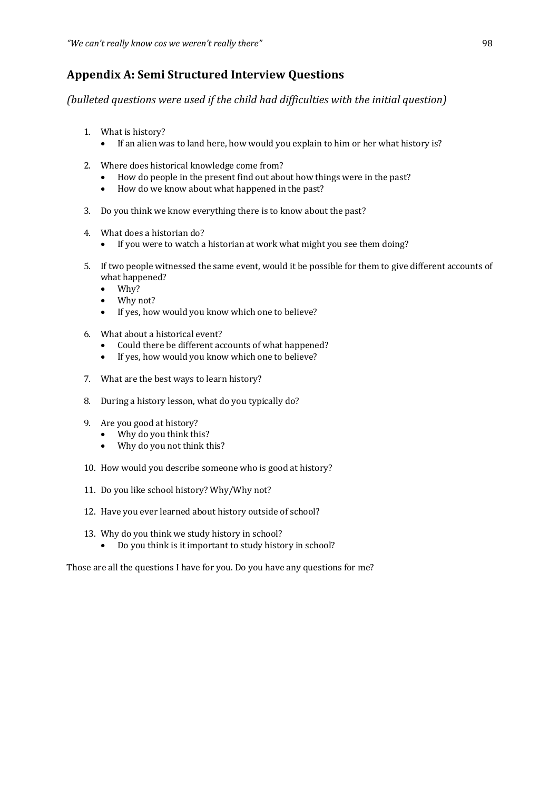## **Appendix A: Semi Structured Interview Questions**

*(bulleted questions were used if the child had difficulties with the initial question)* 

- 1. What is history?
	- If an alien was to land here, how would you explain to him or her what history is?
- 2. Where does historical knowledge come from?
	- How do people in the present find out about how things were in the past?
	- How do we know about what happened in the past?
- 3. Do you think we know everything there is to know about the past?
- 4. What does a historian do?
	- If you were to watch a historian at work what might you see them doing?
- 5. If two people witnessed the same event, would it be possible for them to give different accounts of what happened?
	- Why?
	- Why not?
	- If yes, how would you know which one to believe?
- 6. What about a historical event?
	- Could there be different accounts of what happened?
	- If yes, how would you know which one to believe?
- 7. What are the best ways to learn history?
- 8. During a history lesson, what do you typically do?
- 9. Are you good at history?
	- Why do you think this?
	- Why do you not think this?
- 10. How would you describe someone who is good at history?
- 11. Do you like school history? Why/Why not?
- 12. Have you ever learned about history outside of school?
- 13. Why do you think we study history in school?
	- Do you think is it important to study history in school?

Those are all the questions I have for you. Do you have any questions for me?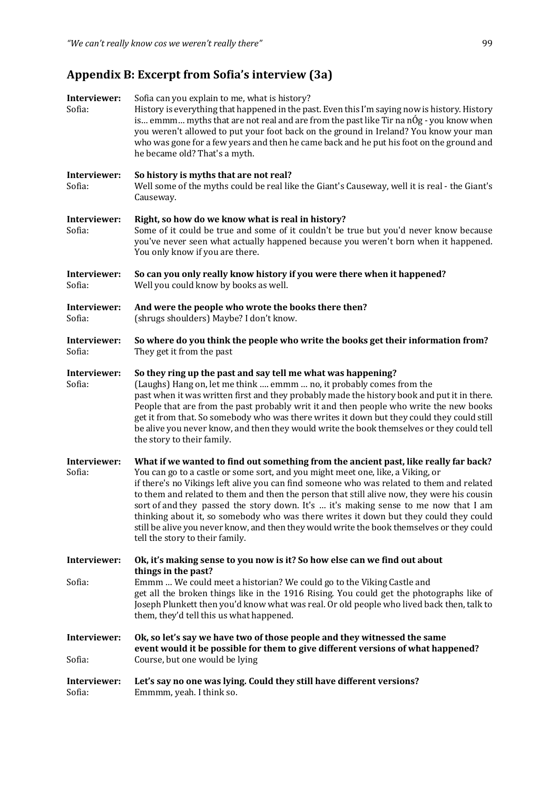## Appendix B: Excerpt from Sofia's interview (3a)

| Interviewer:<br>Sofia: | Sofia can you explain to me, what is history?<br>History is everything that happened in the past. Even this I'm saying now is history. History<br>is emmm myths that are not real and are from the past like Tir na nÓg - you know when<br>you weren't allowed to put your foot back on the ground in Ireland? You know your man<br>who was gone for a few years and then he came back and he put his foot on the ground and<br>he became old? That's a myth.                                                                                                                                                                                                                       |
|------------------------|-------------------------------------------------------------------------------------------------------------------------------------------------------------------------------------------------------------------------------------------------------------------------------------------------------------------------------------------------------------------------------------------------------------------------------------------------------------------------------------------------------------------------------------------------------------------------------------------------------------------------------------------------------------------------------------|
| Interviewer:<br>Sofia: | So history is myths that are not real?<br>Well some of the myths could be real like the Giant's Causeway, well it is real - the Giant's<br>Causeway.                                                                                                                                                                                                                                                                                                                                                                                                                                                                                                                                |
| Interviewer:<br>Sofia: | Right, so how do we know what is real in history?<br>Some of it could be true and some of it couldn't be true but you'd never know because<br>you've never seen what actually happened because you weren't born when it happened.<br>You only know if you are there.                                                                                                                                                                                                                                                                                                                                                                                                                |
| Interviewer:<br>Sofia: | So can you only really know history if you were there when it happened?<br>Well you could know by books as well.                                                                                                                                                                                                                                                                                                                                                                                                                                                                                                                                                                    |
| Interviewer:<br>Sofia: | And were the people who wrote the books there then?<br>(shrugs shoulders) Maybe? I don't know.                                                                                                                                                                                                                                                                                                                                                                                                                                                                                                                                                                                      |
| Interviewer:<br>Sofia: | So where do you think the people who write the books get their information from?<br>They get it from the past                                                                                                                                                                                                                                                                                                                                                                                                                                                                                                                                                                       |
| Interviewer:<br>Sofia: | So they ring up the past and say tell me what was happening?<br>(Laughs) Hang on, let me think  emmm  no, it probably comes from the<br>past when it was written first and they probably made the history book and put it in there.<br>People that are from the past probably writ it and then people who write the new books<br>get it from that. So somebody who was there writes it down but they could they could still<br>be alive you never know, and then they would write the book themselves or they could tell<br>the story to their family.                                                                                                                              |
| Interviewer:<br>Sofia: | What if we wanted to find out something from the ancient past, like really far back?<br>You can go to a castle or some sort, and you might meet one, like, a Viking, or<br>if there's no Vikings left alive you can find someone who was related to them and related<br>to them and related to them and then the person that still alive now, they were his cousin<br>sort of and they passed the story down. It's  it's making sense to me now that I am<br>thinking about it, so somebody who was there writes it down but they could they could<br>still be alive you never know, and then they would write the book themselves or they could<br>tell the story to their family. |
| Interviewer:           | Ok, it's making sense to you now is it? So how else can we find out about<br>things in the past?                                                                                                                                                                                                                                                                                                                                                                                                                                                                                                                                                                                    |
| Sofia:                 | Emmm  We could meet a historian? We could go to the Viking Castle and<br>get all the broken things like in the 1916 Rising. You could get the photographs like of<br>Joseph Plunkett then you'd know what was real. Or old people who lived back then, talk to<br>them, they'd tell this us what happened.                                                                                                                                                                                                                                                                                                                                                                          |
| Interviewer:<br>Sofia: | Ok, so let's say we have two of those people and they witnessed the same<br>event would it be possible for them to give different versions of what happened?<br>Course, but one would be lying                                                                                                                                                                                                                                                                                                                                                                                                                                                                                      |
| Interviewer:<br>Sofia: | Let's say no one was lying. Could they still have different versions?<br>Emmmm, yeah. I think so.                                                                                                                                                                                                                                                                                                                                                                                                                                                                                                                                                                                   |